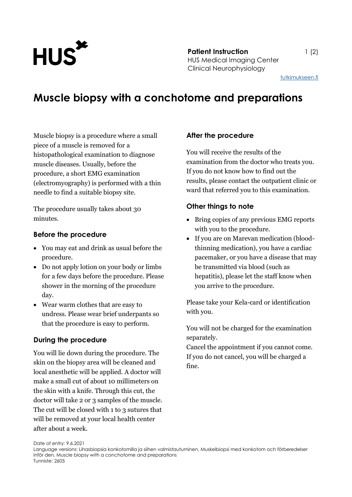

**Patient Instruction** 1 (2) HUS Medical Imaging Center Clinical Neurophysiology

[tutkimukseen.fi](http://www.tutkimukseen.fi/)

# **Muscle biopsy with a conchotome and preparations**

Muscle biopsy is a procedure where a small piece of a muscle is removed for a histopathological examination to diagnose muscle diseases. Usually, before the procedure, a short EMG examination (electromyography) is performed with a thin needle to find a suitable biopsy site.

The procedure usually takes about 30 minutes.

#### **Before the procedure**

- You may eat and drink as usual before the procedure.
- Do not apply lotion on your body or limbs for a few days before the procedure. Please shower in the morning of the procedure day.
- Wear warm clothes that are easy to undress. Please wear brief underpants so that the procedure is easy to perform.

## **During the procedure**

You will lie down during the procedure. The skin on the biopsy area will be cleaned and local anesthetic will be applied. A doctor will make a small cut of about 10 millimeters on the skin with a knife. Through this cut, the doctor will take 2 or 3 samples of the muscle. The cut will be closed with 1 to 3 sutures that will be removed at your local health center after about a week.

## **After the procedure**

You will receive the results of the examination from the doctor who treats you. If you do not know how to find out the results, please contact the outpatient clinic or ward that referred you to this examination.

## **Other things to note**

- Bring copies of any previous EMG reports with you to the procedure.
- If you are on Marevan medication (bloodthinning medication), you have a cardiac pacemaker, or you have a disease that may be transmitted via blood (such as hepatitis), please let the staff know when you arrive to the procedure.

Please take your Kela-card or identification with you.

You will not be charged for the examination separately.

Cancel the appointment if you cannot come. If you do not cancel, you will be charged a fine.

Date of entry: 9.6.2021

Language versions: Lihasbiopsia konkotomilla ja siihen valmistautuminen, Muskelbiopsi med konkotom och förberedelser inför den, Muscle biopsy with a conchotome and preparations Tunniste: 2605